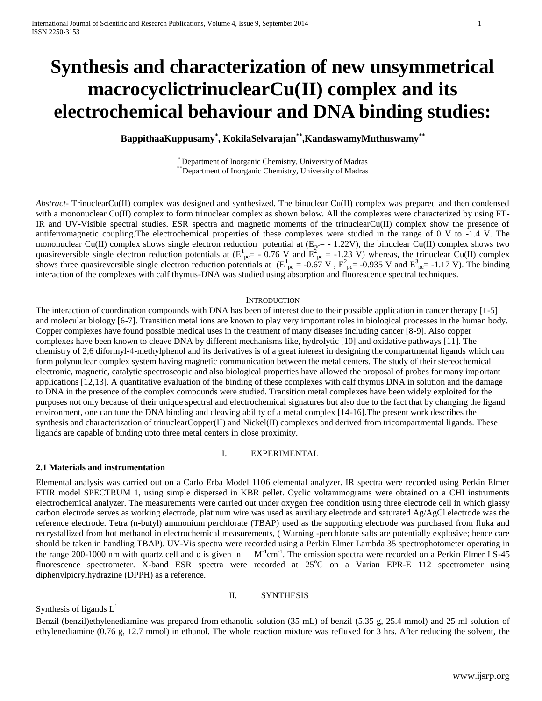# **Synthesis and characterization of new unsymmetrical macrocyclictrinuclearCu(II) complex and its electrochemical behaviour and DNA binding studies:**

**BappithaaKuppusamy\* , KokilaSelvarajan\*\* ,KandaswamyMuthuswamy\*\***

\* Department of Inorganic Chemistry, University of Madras \*\*Department of Inorganic Chemistry, University of Madras

*Abstract*- TrinuclearCu(II) complex was designed and synthesized. The binuclear Cu(II) complex was prepared and then condensed with a mononuclear Cu(II) complex to form trinuclear complex as shown below. All the complexes were characterized by using FT-IR and UV-Visible spectral studies. ESR spectra and magnetic moments of the trinuclearCu(II) complex show the presence of antiferromagnetic coupling.The electrochemical properties of these complexes were studied in the range of 0 V to -1.4 V. The mononuclear Cu(II) complex shows single electron reduction potential at  $(E_{pc} = -1.22V)$ , the binuclear Cu(II) complex shows two quasireversible single electron reduction potentials at  $(E_{pc}^1 = -0.76 \text{ V}$  and  $E_{pc}^2 = -1.23 \text{ V}$ ) whereas, the trinuclear Cu(II) complex shows three quasireversible single electron reduction potentials at  $(E_{pc}^1 = -0.67 \text{ V}$ ,  $E_{pc}^2 = -0.935 \text{ V}$  and  $E_{pc}^3 = -1.17 \text{ V}$ ). The binding interaction of the complexes with calf thymus-DNA was studied using absorption and fluorescence spectral techniques.

#### **INTRODUCTION**

The interaction of coordination compounds with DNA has been of interest due to their possible application in cancer therapy [1-5] and molecular biology [6-7]. Transition metal ions are known to play very important roles in biological processes in the human body. Copper complexes have found possible medical uses in the treatment of many diseases including cancer [8-9]. Also copper complexes have been known to cleave DNA by different mechanisms like, hydrolytic [10] and oxidative pathways [11]. The chemistry of 2,6 diformyl-4-methylphenol and its derivatives is of a great interest in designing the compartmental ligands which can form polynuclear complex system having magnetic communication between the metal centers. The study of their stereochemical electronic, magnetic, catalytic spectroscopic and also biological properties have allowed the proposal of probes for many important applications [12,13]. A quantitative evaluation of the binding of these complexes with calf thymus DNA in solution and the damage to DNA in the presence of the complex compounds were studied. Transition metal complexes have been widely exploited for the purposes not only because of their unique spectral and electrochemical signatures but also due to the fact that by changing the ligand environment, one can tune the DNA binding and cleaving ability of a metal complex [14-16].The present work describes the synthesis and characterization of trinuclearCopper(II) and Nickel(II) complexes and derived from tricompartmental ligands. These ligands are capable of binding upto three metal centers in close proximity.

# I. EXPERIMENTAL

# **2.1 Materials and instrumentation**

Elemental analysis was carried out on a Carlo Erba Model 1106 elemental analyzer. IR spectra were recorded using Perkin Elmer FTIR model SPECTRUM 1, using simple dispersed in KBR pellet. Cyclic voltammograms were obtained on a CHI instruments electrochemical analyzer. The measurements were carried out under oxygen free condition using three electrode cell in which glassy carbon electrode serves as working electrode, platinum wire was used as auxiliary electrode and saturated Ag/AgCl electrode was the reference electrode. Tetra (n-butyl) ammonium perchlorate (TBAP) used as the supporting electrode was purchased from fluka and recrystallized from hot methanol in electrochemical measurements, ( Warning -perchlorate salts are potentially explosive; hence care should be taken in handling TBAP). UV-Vis spectra were recorded using a Perkin Elmer Lambda 35 spectrophotometer operating in the range 200-1000 nm with quartz cell and  $\varepsilon$  is given in cm-1 . The emission spectra were recorded on a Perkin Elmer LS-45 fluorescence spectrometer. X-band ESR spectra were recorded at 25°C on a Varian EPR-E 112 spectrometer using diphenylpicrylhydrazine (DPPH) as a reference.

## II. SYNTHESIS

Synthesis of ligands  $L<sup>1</sup>$ 

Benzil (benzil)ethylenediamine was prepared from ethanolic solution (35 mL) of benzil (5.35 g, 25.4 mmol) and 25 ml solution of ethylenediamine (0.76 g, 12.7 mmol) in ethanol. The whole reaction mixture was refluxed for 3 hrs. After reducing the solvent, the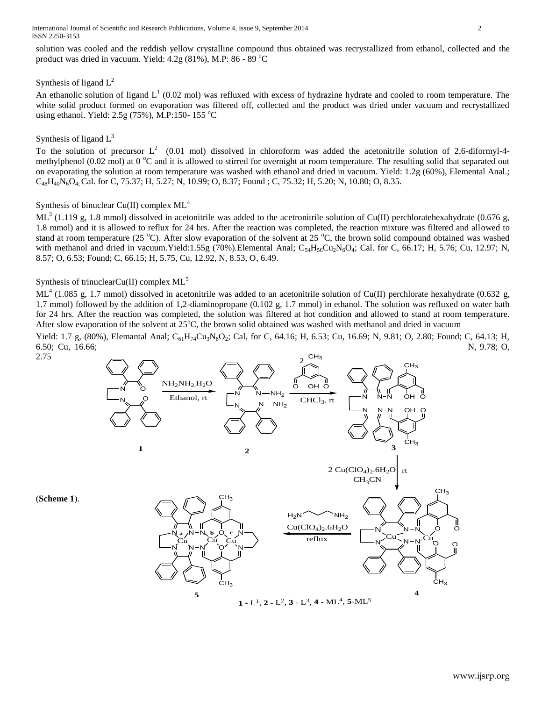International Journal of Scientific and Research Publications, Volume 4, Issue 9, September 2014 2 ISSN 2250-3153

solution was cooled and the reddish yellow crystalline compound thus obtained was recrystallized from ethanol, collected and the product was dried in vacuum. Yield:  $4.2g$  (81%), M.P: 86 - 89 °C

# Synthesis of ligand  $L^2$

An ethanolic solution of ligand  $L^1$  (0.02 mol) was refluxed with excess of hydrazine hydrate and cooled to room temperature. The white solid product formed on evaporation was filtered off, collected and the product was dried under vacuum and recrystallized using ethanol. Yield:  $2.5g(75%)$ , M.P:150-155 °C

# Synthesis of ligand  $L^3$

2.75

(**Scheme 1**).

To the solution of precursor  $L^2$  (0.01 mol) dissolved in chloroform was added the acetonitrile solution of 2,6-diformyl-4methylphenol (0.02 mol) at 0  $^{\circ}$ C and it is allowed to stirred for overnight at room temperature. The resulting solid that separated out on evaporating the solution at room temperature was washed with ethanol and dried in vacuum. Yield: 1.2g (60%), Elemental Anal.;  $C_{48}H_{40}N_6O_4$ . Cal. for C, 75.37; H, 5.27; N, 10.99; O, 8.37; Found ; C, 75.32; H, 5.20; N, 10.80; O, 8.35.

# Synthesis of binuclear Cu(II) complex  $ML<sup>4</sup>$

ML<sup>3</sup> (1.119 g, 1.8 mmol) dissolved in acetonitrile was added to the acetronitrile solution of Cu(II) perchloratehexahydrate (0.676 g, 1.8 mmol) and it is allowed to reflux for 24 hrs. After the reaction was completed, the reaction mixture was filtered and allowed to stand at room temperature (25  $^{\circ}$ C). After slow evaporation of the solvent at 25  $^{\circ}$ C, the brown solid compound obtained was washed with methanol and dried in vacuum. Yield:1.55g (70%). Elemental Anal;  $C_{54}H_{56}Cu_2N_6O_4$ ; Cal. for C, 66.17; H, 5.76; Cu, 12.97; N, 8.57; O, 6.53; Found; C, 66.15; H, 5.75, Cu, 12.92, N, 8.53, O, 6.49.

# Synthesis of trinuclearCu(II) complex  $ML^5$

ML<sup>4</sup> (1.085 g, 1.7 mmol) dissolved in acetonitrile was added to an acetonitrile solution of Cu(II) perchlorate hexahydrate (0.632 g, 1.7 mmol) followed by the addition of 1,2-diaminopropane (0.102 g, 1.7 mmol) in ethanol. The solution was refluxed on water bath for 24 hrs. After the reaction was completed, the solution was filtered at hot condition and allowed to stand at room temperature. After slow evaporation of the solvent at  $25^{\circ}$ C, the brown solid obtained was washed with methanol and dried in vacuum

Yield: 1.7 g, (80%), Elemantal Anal;  $C_{61}H_{74}Cu_3N_8O_2$ ; Cal, for C, 64.16; H, 6.53; Cu, 16.69; N, 9.81; O, 2.80; Found; C, 64.13; H, 6.50; Cu, 16.66; N, 9.78; O, N, 9.78; O, N, 9.78; O,

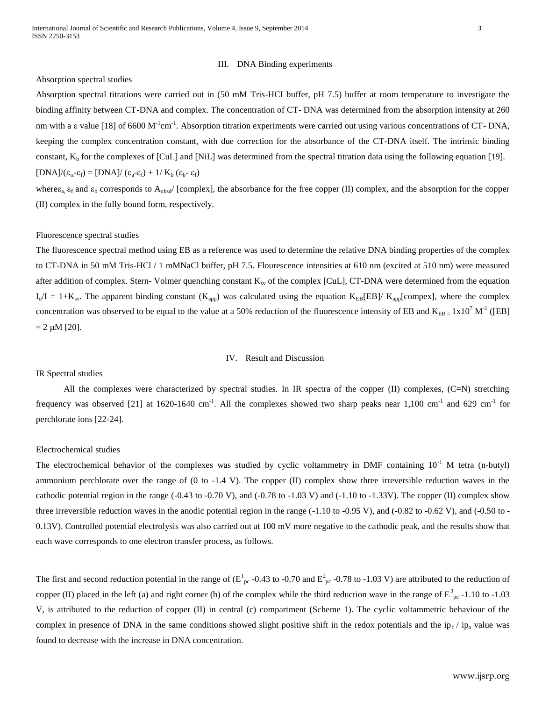#### III. DNA Binding experiments

## Absorption spectral studies

Absorption spectral titrations were carried out in (50 mM Tris-HCI buffer, pH 7.5) buffer at room temperature to investigate the binding affinity between CT-DNA and complex. The concentration of CT- DNA was determined from the absorption intensity at 260 nm with a  $\varepsilon$  value [18] of 6600 M<sup>-1</sup>cm<sup>-1</sup>. Absorption titration experiments were carried out using various concentrations of CT-DNA, keeping the complex concentration constant, with due correction for the absorbance of the CT-DNA itself. The intrinsic binding constant,  $K_b$  for the complexes of [CuL] and [NiL] was determined from the spectral titration data using the following equation [19].  $[DNA]/(\epsilon_{\alpha} - \epsilon_{\text{f}}) = [DNA]/(\epsilon_{\text{a}} - \epsilon_{\text{f}}) + 1/K_{\text{b}} (\epsilon_{\text{b}} - \epsilon_{\text{f}})$ 

where $\varepsilon_{a}$ ,  $\varepsilon_{f}$  and  $\varepsilon_{b}$  corresponds to  $A_{obsd}$  [complex], the absorbance for the free copper (II) complex, and the absorption for the copper (II) complex in the fully bound form, respectively.

#### Fluorescence spectral studies

The fluorescence spectral method using EB as a reference was used to determine the relative DNA binding properties of the complex to CT-DNA in 50 mM Tris-HCl / 1 mMNaCl buffer, pH 7.5. Flourescence intensities at 610 nm (excited at 510 nm) were measured after addition of complex. Stern-Volmer quenching constant  $K_{sv}$  of the complex [CuL], CT-DNA were determined from the equation  $I_0/I = 1+K_{sv}$ . The apparent binding constant  $(K_{app})$  was calculated using the equation  $K_{EB}[EB]/K_{app}[complex]$ , where the complex concentration was observed to be equal to the value at a 50% reduction of the fluorescence intensity of EB and  $K_{EB} = 1 \times 10^7 M^{-1}$  ([EB]  $= 2 \mu M [20]$ .

## IV. Result and Discussion

## IR Spectral studies

All the complexes were characterized by spectral studies. In IR spectra of the copper (II) complexes, (C=N) stretching frequency was observed [21] at 1620-1640 cm<sup>-1</sup>. All the complexes showed two sharp peaks near 1,100 cm<sup>-1</sup> and 629 cm<sup>-1</sup> for perchlorate ions [22-24].

## Electrochemical studies

The electrochemical behavior of the complexes was studied by cyclic voltammetry in DMF containing  $10^{-1}$  M tetra (n-butyl) ammonium perchlorate over the range of (0 to -1.4 V). The copper (II) complex show three irreversible reduction waves in the cathodic potential region in the range  $(-0.43 \text{ to } -0.70 \text{ V})$ , and  $(-0.78 \text{ to } -1.03 \text{ V})$  and  $(-1.10 \text{ to } -1.33 \text{ V})$ . The copper (II) complex show three irreversible reduction waves in the anodic potential region in the range (-1.10 to -0.95 V), and (-0.82 to -0.62 V), and (-0.50 to -0.13V). Controlled potential electrolysis was also carried out at 100 mV more negative to the cathodic peak, and the results show that each wave corresponds to one electron transfer process, as follows.

The first and second reduction potential in the range of ( $E_{pc}^{1}$ -0.43 to -0.70 and  $E_{pc}^{2}$ -0.78 to -1.03 V) are attributed to the reduction of copper (II) placed in the left (a) and right corner (b) of the complex while the third reduction wave in the range of  $E_{pc}^3$ -1.10 to -1.03 V, is attributed to the reduction of copper (II) in central (c) compartment (Scheme 1). The cyclic voltammetric behaviour of the complex in presence of DNA in the same conditions showed slight positive shift in the redox potentials and the ip<sub>c</sub> / ip<sub>a</sub> value was found to decrease with the increase in DNA concentration.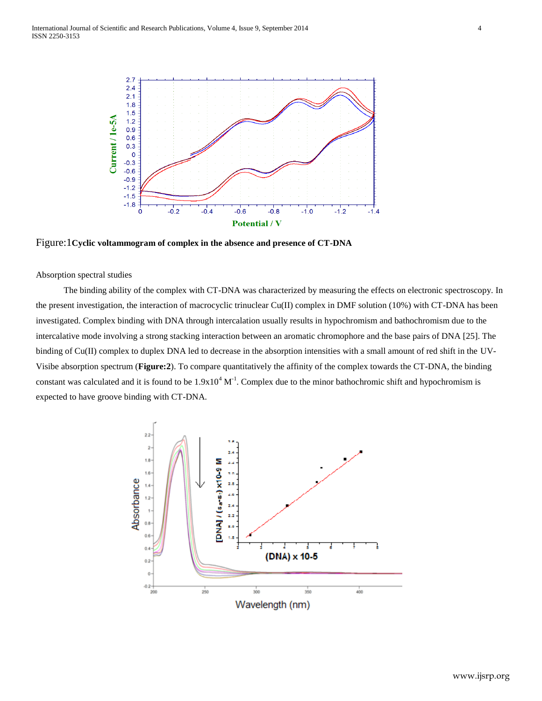

Figure:1**Cyclic voltammogram of complex in the absence and presence of CT-DNA**

## Absorption spectral studies

The binding ability of the complex with CT-DNA was characterized by measuring the effects on electronic spectroscopy. In the present investigation, the interaction of macrocyclic trinuclear Cu(II) complex in DMF solution (10%) with CT-DNA has been investigated. Complex binding with DNA through intercalation usually results in hypochromism and bathochromism due to the intercalative mode involving a strong stacking interaction between an aromatic chromophore and the base pairs of DNA [25]. The binding of Cu(II) complex to duplex DNA led to decrease in the absorption intensities with a small amount of red shift in the UV-Visibe absorption spectrum (**Figure:2**). To compare quantitatively the affinity of the complex towards the CT-DNA, the binding constant was calculated and it is found to be  $1.9x10^4$  M<sup>-1</sup>. Complex due to the minor bathochromic shift and hypochromism is expected to have groove binding with CT-DNA.

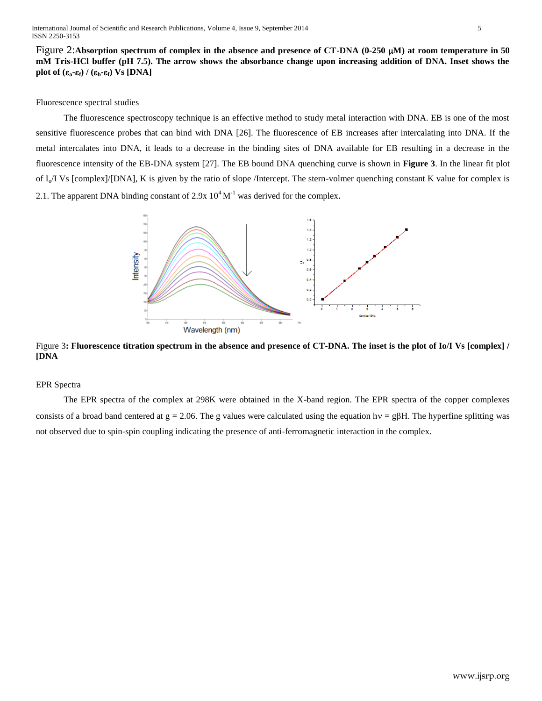Figure 2:**Absorption spectrum of complex in the absence and presence of CT-DNA (0-250 M) at room temperature in 50 mM Tris-HCl buffer (pH 7.5). The arrow shows the absorbance change upon increasing addition of DNA. Inset shows the plot of**  $(\epsilon_a - \epsilon_f) / (\epsilon_b - \epsilon_f)$  **Vs [DNA]** 

# Fluorescence spectral studies

The fluorescence spectroscopy technique is an effective method to study metal interaction with DNA. EB is one of the most sensitive fluorescence probes that can bind with DNA [26]. The fluorescence of EB increases after intercalating into DNA. If the metal intercalates into DNA, it leads to a decrease in the binding sites of DNA available for EB resulting in a decrease in the fluorescence intensity of the EB-DNA system [27]. The EB bound DNA quenching curve is shown in **Figure 3**. In the linear fit plot of  $I_0/I$  Vs [complex]/[DNA], K is given by the ratio of slope /Intercept. The stern-volmer quenching constant K value for complex is 2.1. The apparent DNA binding constant of 2.9x  $10^4$  M<sup>-1</sup> was derived for the complex.



Figure 3**: Fluorescence titration spectrum in the absence and presence of CT-DNA. The inset is the plot of Io/I Vs [complex] / [DNA**

# EPR Spectra

The EPR spectra of the complex at 298K were obtained in the X-band region. The EPR spectra of the copper complexes consists of a broad band centered at  $g = 2.06$ . The g values were calculated using the equation hv = g $\beta$ H. The hyperfine splitting was not observed due to spin-spin coupling indicating the presence of anti-ferromagnetic interaction in the complex.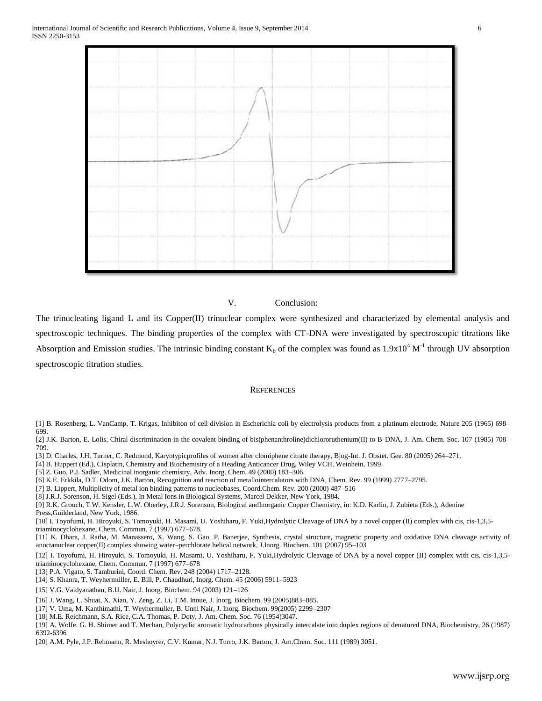

## V. Conclusion:

The trinucleating ligand L and its Copper(II) trinuclear complex were synthesized and characterized by elemental analysis and spectroscopic techniques. The binding properties of the complex with CT-DNA were investigated by spectroscopic titrations like Absorption and Emission studies. The intrinsic binding constant  $K_b$  of the complex was found as  $1.9x10^4$  M<sup>-1</sup> through UV absorption spectroscopic titration studies.

# **REFERENCES**

- [1] B. Rosenberg, L. VanCamp, T. Krigas, Inhibiton of cell division in Escherichia coli by electrolysis products from a platinum electrode, Nature 205 (1965) 698– 699.
- [2] J.K. Barton, E. Lolis, Chiral discrimination in the covalent binding of bis(phenanthroline)dichlororuthenium(II) to B-DNA, J. Am. Chem. Soc. 107 (1985) 708– 709.
- [3] D. Charles, J.H. Turner, C. Redmond, Karyotypicprofiles of women after clomiphene citrate therapy, Bjog-Int. J. Obstet. Gee. 80 (2005) 264–271.
- [4] B. Huppert (Ed.), Cisplatin, Chemistry and Biochemistry of a Heading Anticancer Drug, Wiley VCH, Weinhein, 1999.
- [5] Z. Guo, P.J. Sadler, Medicinal inorganic chemistry, Adv. Inorg. Chem. 49 (2000) 183–306.
- [6] K.E. Erkkila, D.T. Odom, J.K. Barton, Recognition and reaction of metallointercalators with DNA, Chem. Rev. 99 (1999) 2777–2795.
- [7] B. Lippert, Multiplicity of metal ion binding patterns to nucleobases, Coord.Chem. Rev. 200 (2000) 487–516
- [8] J.R.J. Sorenson, H. Sigel (Eds.), In Metal Ions in Biological Systems, Marcel Dekker, New York, 1984.

- [11] K. Dhara, J. Ratha, M. Manassero, X. Wang, S. Gao, P. Banerjee, Synthesis, crystal structure, magnetic property and oxidative DNA cleavage activity of anoctanuclear copper(II) complex showing water–perchlorate helical network, J.Inorg. Biochem. 101 (2007) 95–103
- [12] I. Toyofumi, H. Hiroyuki, S. Tomoyuki, H. Masami, U. Yoshiharu, F. Yuki,Hydrolytic Cleavage of DNA by a novel copper (II) complex with cis, cis-1,3,5 triaminocyclohexane, Chem. Commun. 7 (1997) 677–678
- [13] P.A. Vigato, S. Tamburini, Coord. Chem. Rev. 248 (2004) 1717–2128.
- [14] S. Khanra, T. Weyhermüller, E. Bill, P. Chaudhuri, Inorg. Chem. 45 (2006) 5911–5923
- [15] V.G. Vaidyanathan, B.U. Nair, J. Inorg. Biochem. 94 (2003) 121–126
- [16] J. Wang, L. Shuai, X. Xiao, Y. Zeng, Z. Li, T.M. Inoue, J. Inorg. Biochem. 99 (2005)883–885.
- [17] V. Uma, M. Kanthimathi, T. Weyhermuller, B. Unni Nair, J. Inorg. Biochem. 99(2005) 2299–2307
- [18] M.E. Reichmann, S.A. Rice, C.A. Thomas, P. Doty, J. Am. Chem. Soc. 76 (1954)3047.
- [19] A. Wolfe. G. H. Shimer and T. Mechan, Polycyclic aromatic hydrocarbons physically intercalate into duplex regions of denatured DNA, Biochemistry, 26 (1987) 6392-6396
- [20] A.M. Pyle, J.P. Rehmann, R. Meshoyrer, C.V. Kumar, N.J. Turro, J.K. Barton, J. Am.Chem. Soc. 111 (1989) 3051.

<sup>[9]</sup> R.K. Grouch, T.W. Kensler, L.W. Oberley, J.R.J. Sorenson, Biological andInorganic Copper Chemistry, in: K.D. Karlin, J. Zubieta (Eds.), Adenine Press,Guilderland, New York, 1986.

<sup>[10]</sup> I. Toyofumi, H. Hiroyuki, S. Tomoyuki, H. Masami, U. Yoshiharu, F. Yuki,Hydrolytic Cleavage of DNA by a novel copper (II) complex with cis, cis-1,3,5 triaminocyclohexane, Chem. Commun. 7 (1997) 677–678.